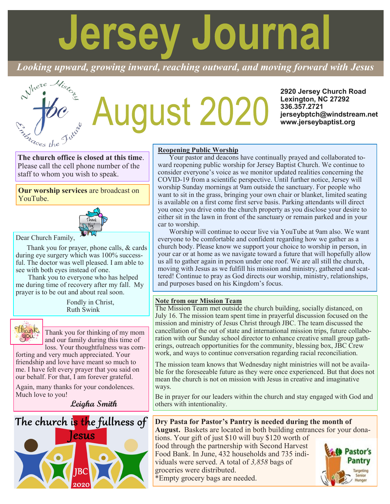# **Jersey Journal**

*Looking upward, growing inward, reaching outward, and moving forward with Jesus*



# **ugust 2020**

**2920 Jersey Church Road Lexington, NC 27292 336.357.2721 jerseybptch@windstream.net www.jerseybaptist.org**

**The church office is closed at this time**. Please call the cell phone number of the staff to whom you wish to speak.

**Our worship services** are broadcast on YouTube.



Dear Church Family,

Thank you for prayer, phone calls, & cards during eye surgery which was 100% successful. The doctor was well pleased. I am able to see with both eyes instead of one.

 Thank you to everyone who has helped me during time of recovery after my fall. My prayer is to be out and about real soon.

> Fondly in Christ, Ruth Swink



Thank you for thinking of my mom and our family during this time of loss. Your thoughtfulness was com-

forting and very much appreciated. Your friendship and love have meant so much to me. I have felt every prayer that you said on our behalf. For that, I am forever grateful.

Again, many thanks for your condolences. Much love to you!

**Leigha Smith**



# **Reopening Public Worship**

Your pastor and deacons have continually prayed and collaborated toward reopening public worship for Jersey Baptist Church. We continue to consider everyone's voice as we monitor updated realities concerning the COVID-19 from a scientific perspective. Until further notice, Jersey will worship Sunday mornings at 9am outside the sanctuary. For people who want to sit in the grass, bringing your own chair or blanket, limited seating is available on a first come first serve basis. Parking attendants will direct you once you drive onto the church property as you disclose your desire to either sit in the lawn in front of the sanctuary or remain parked and in your car to worship.

Worship will continue to occur live via YouTube at 9am also. We want everyone to be comfortable and confident regarding how we gather as a church body. Please know we support your choice to worship in person, in your car or at home as we navigate toward a future that will hopefully allow us all to gather again in person under one roof. We are all still the church, moving with Jesus as we fulfill his mission and ministry, gathered and scattered! Continue to pray as God directs our worship, ministry, relationships, and purposes based on his Kingdom's focus.

# **Note from our Mission Team**

The Mission Team met outside the church building, socially distanced, on July 16. The mission team spent time in prayerful discussion focused on the mission and ministry of Jesus Christ through JBC. The team discussed the cancellation of the out of state and international mission trips, future collaboration with our Sunday school director to enhance creative small group gatherings, outreach opportunities for the community, blessing box, JBC Crew work, and ways to continue conversation regarding racial reconciliation.

The mission team knows that Wednesday night ministries will not be available for the foreseeable future as they were once experienced. But that does not mean the church is not on mission with Jesus in creative and imaginative ways.

Be in prayer for our leaders within the church and stay engaged with God and others with intentionality.

# **Dry Pasta for Pastor's Pantry is needed during the month of**

**August.** Baskets are located in both building entrances for your donations. Your gift of just \$10 will buy \$120 worth of

food through the partnership with Second Harvest Food Bank. In June, 432 households and 735 individuals were served. A total of *3,858* bags of groceries were distributed. \*Empty grocery bags are needed.

Pastor's **Pantry** Targeting Senior Hunger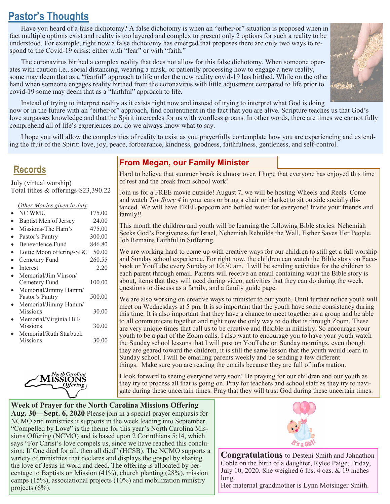# **Pastor's Thoughts**

Have you heard of a false dichotomy? A false dichotomy is when an "either/or" situation is proposed when in fact multiple options exist and reality is too layered and complex to present only 2 options for such a reality to be understood. For example, right now a false dichotomy has emerged that proposes there are only two ways to respond to the Covid-19 crisis: either with "fear" or with "faith."

The coronavirus birthed a complex reality that does not allow for this false dichotomy. When someone operates with caution i.e., social distancing, wearing a mask, or patiently processing how to engage a new reality, some may deem that as a "fearful" approach to life under the new reality covid-19 has birthed. While on the other hand when someone engages reality birthed from the coronavirus with little adjustment compared to life prior to covid-19 some may deem that as a "faithful" approach to life.



Instead of trying to interpret reality as it exists right now and instead of trying to interpret what God is doing now or in the future with an "either/or" approach, find contentment in the fact that you are alive. Scripture teaches us that God's love surpasses knowledge and that the Spirit intercedes for us with wordless groans. In other words, there are times we cannot fully comprehend all of life's experiences nor do we always know what to say.

I hope you will allow the complexities of reality to exist as you prayerfully contemplate how you are experiencing and extending the fruit of the Spirit: love, joy, peace, forbearance, kindness, goodness, faithfulness, gentleness, and self-control.

# **Records**

July (virtual worship) Total tithes & offerings-\$23,390.22

## *Other Monies given in July*

| <b>NC WMU</b>            | 175.00 |
|--------------------------|--------|
| Baptist Men of Jersey    | 24.00  |
| Missions-The Ham's       | 475.00 |
| Pastor's Pantry          | 300.00 |
| Benevolence Fund         | 846.80 |
| Lottie Moon offering-SBC | 50.00  |
| Cemetery Fund            | 260.55 |
| Interest                 | 2.20   |
| Memorial/Jim Vinson/     |        |
| Cemetery Fund            | 100.00 |
| Memorial/Jimmy Hamm/     |        |
| Pastor's Pantry          | 500.00 |
| Memorial/Jimmy Hamm/     |        |
| Missions                 | 30.00  |
| Memorial/Virginia Hill/  |        |
| <b>Missions</b>          | 30.00  |
| Memorial/Ruth Starbuck   |        |
| Missions                 | 30.00  |
|                          |        |
|                          |        |



# **From Megan, our Family Minister**

Hard to believe that summer break is almost over. I hope that everyone has enjoyed this time of rest and the break from school work!

Join us for a FREE movie outside! August 7, we will be hosting Wheels and Reels. Come and watch *Toy Story 4* in your cars or bring a chair or blanket to sit outside socially distanced. We will have FREE popcorn and bottled water for everyone! Invite your friends and family!!

This month the children and youth will be learning the following Bible stories: Nehemiah Seeks God's Forgiveness for Israel, Nehemiah Rebuilds the Wall, Esther Saves Her People, Job Remains Faithful in Suffering.

We are working hard to come up with creative ways for our children to still get a full worship and Sunday school experience. For right now, the children can watch the Bible story on Facebook or YouTube every Sunday at 10:30 am. I will be sending activities for the children to each parent through email. Parents will receive an email containing what the Bible story is about, items that they will need during video, activities that they can do during the week, questions to discuss as a family, and a family guide page.

We are also working on creative ways to minister to our youth. Until further notice youth will meet on Wednesdays at 5 pm. It is so important that the youth have some consistency during this time. It is also important that they have a chance to meet together as a group and be able to all communicate together and right now the only way to do that is through Zoom. These are very unique times that call us to be creative and flexible in ministry. So encourage your youth to be a part of the Zoom calls. I also want to encourage you to have your youth watch the Sunday school lessons that I will post on YouTube on Sunday mornings, even though they are geared toward the children, it is still the same lesson that the youth would learn in Sunday school. I will be emailing parents weekly and be sending a few different things. Make sure you are reading the emails because they are full of information.

I look forward to seeing everyone very soon! Be praying for our children and our youth as they try to process all that is going on. Pray for teachers and school staff as they try to navigate during these uncertain times. Pray that they will trust God during these uncertain times.

# **Week of Prayer for the North Carolina Missions Offering Aug. 30—Sept. 6, 2020** Please join in a special prayer emphasis for NCMO and ministries it supports in the week leading into September. "Compelled by Love" is the theme for this year's North Carolina Missions Offering (NCMO) and is based upon 2 Corinthians 5:14, which says "For Christ's love compels us, since we have reached this conclusion: If One died for all, then all died" (HCSB). The NCMO supports a variety of ministries that declares and displays the gospel by sharing the love of Jesus in word and deed. The offering is allocated by percentage to Baptists on Mission (41%), church planting (28%), mission camps (15%), associational projects (10%) and mobilization ministry projects (6%).



**Congratulations** to Desteni Smith and Johnathon Coble on the birth of a daughter, Rylee Paige, Friday, July 10, 2020. She weighed 6 lbs. 4 ozs. & 19 inches long.

Her maternal grandmother is Lynn Motsinger Smith.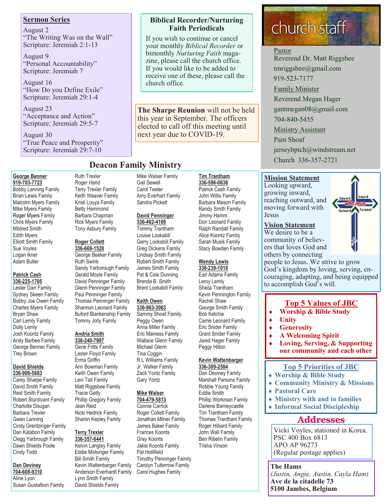# **Sermon Series**

August 2 "The Writing Was on the Wall" Scripture: Jeremiah 2:1-13

August 9 "Personal Accountability" Scripture: Jeremiah 7

August 16 "How Do you Define Exile" Scripture: Jeremiah 29:1-4

August 23 "Acceptance and Action" Scripture: Jeremiah 29:5-7

August 30 "True Peace and Prosperity" Scripture: Jeremiah 29:7-10

### **George Benner 919-703-7723**

Bobby Lanning Family Brian Lewis Family Malcolm Myers Family Mike Myers Family Roger Myers Family Chris Myers Family Mildred Smith Edith Myers Elliott Smith Family Sue Voyles Logan Ikner Adam Butler

# **Patrick Cash**

**336-225-1705** Lester Darr Family Sydney Skeen Family Bobby Joe Owen Family Charles Myers Family Bryan Shaw Carl Lemly Family Dolly Lemly Josh Koontz Family Andy Barbee Family George Benner Family Trey Brown

### **David Shields 336-906-5683**

Carey Sharpe Family David Smith Family Reid Smith Family Robert Sturdivant Family Charlotte Dougan Barbara Trexler Gwen Lanning Cindy Grentzinger Family Dan Kalabon Family Clegg Yarbrough Family Dawn Shields Poole Cindy Todd

# **Dan Deviney**

**704-608-9310** Aline Lyon Susan Gustafson Family Ruth Trexler Roger Hand Terry Trexler Family Keith Weaver Family Kristi Louya Family Betty Hammond Barbara Chapman Rick Myers Family Tony Asbury Family

# **Roger Collett**

**336-669-1528** George Beeker Family Ruth Swink Sandy Yarborough Family Gerald Moyle Family David Penninger Family Glenn Penninger Family Paul Penninger Family Thomas Penninger Family Shannon Leonard Family Buford Blankenship Family Tommy Jolly Family

### **Andria Smith 336-240-7987**

Gene Fritts Family Lester Floyd Family Erma Griffin Ann Bowman Family Keith Owen Family Levi Tait Family Matt Riggsbee Family Tracie Getty Phillip Gregory Family Jean Reid Nicki Hedrick Family Sharon Kepley Family

### **Terry Trexler 336-357-6441**

Kelvin Langley Family Eddie Motsinger Family Bill Smith Family Kevin Wattenbarger Family Anderson Everhardt Family Lynn Smith Family David Shields Family

# **Biblical Recorder/Nurturing Faith Periodicals**

If you wish to continue or cancel your monthly *Biblical Recorder* or bimonthly *Nurturing Faith* magazine, please call the church office. If you would like to be added to receive one of these, please call the church office.

**The Sharpe Reunion** will not be held this year in September. The officers elected to call off this meeting until next year due to COVID-19.

# **Deacon Family Ministry**

Mike Walser Family Gail Sewell Carol Teeter Amy Everhart Family Sandra Pickett

# **David Penninger**

**336-462-4108** Tommy Trantham Louise Lookabill Gerry Lookabill Family Greg Dickens Family Lindsay Smith Family Robert Smith Family James Smith Family Pat & Cole Dunning Brenda B. Smith Brent Lookabill Family

### **Keith Owen 336-963-3063**

Sammy Shoaf Family Peggy Owen Anna Miller Family Eric Mainess Family Wallace Glenn Family Michael Glenn Tina Coggin R L Williams Family Jr. Walker Family Zack Yontz Family Gary Yontz

# **Mike Walser**

**704-479-5813** Connie Carrick Roger Collett Family Jonathan Milner Family James Baker Family Frances Koonts Gray Koonts Jakie Koonts Family Pat Hollifield Timothy Penninger Family Carolyn Tutterrow Family Carol Hughes Family

# **Tim Trantham 336-596-0638** Patrick Cash Family John Willis Family Barbara Mason Family Randy Smith Family Jimmy Hamm Don Leonard Family

Ralph Randall Family Alice Koontz Family Sarah Musik Family Stacy Bowden Family

# **Wendy Lewis**

**336-239-1018** Earl Adams Family Leroy Lemly Sheila Trantham Kevin Pennington Family Rachel Shaw George Smith Family Bob Ketchie Carrie Leonard Family Eric Snider Family Grant Snider Family Jared Hager Family Peggy Hilton

### **Kevin Wattenbarger 336-309-2584**

Dan Deviney Family Marshall Parsons Family Robbie Young Family Eddie Smith Phillip Workman Family Darlene Barneycastle Tim Trantham Family Thomas Trantham Family Roger Hilliard Family John Wall Family Ben Ribelin Family Trisha Vinson

# church staff

# Pastor

Reverend Dr. Matt Riggsbee tmriggsbee@gmail.com 919-523-7177 Family Minister Reverend Megan Hager gantmegan08@gmail.com 704-840-5455 Ministry Assistant Pam Shoaf jerseybptch@windstream.net Church 336-357-2721

# **Mission Statement**

Looking upward, growing inward, reaching outward, and moving forward with Jesus

## **Vision Statement**

We desire to be a community of believers that loves God and others by connecting



# couraging, adapting, and being equipped to accomplish God's will.

**Top 5 Values of JBC**

people to Jesus. We strive to grow God's kingdom by loving, serving, en-

- **Worship & Bible Study**
- **Unity**
- **Generosity**
- **A Welcoming Spirit**
- **Loving, Serving, & Supporting our community and each other**

# **Top 5 Priorities of JBC**

- **Worship & Bible Study**
- **Community Ministry & Missions**
- **Pastoral Care**
- **Ministry with and to families**
	- **Informal Social Discipleship**

# **Addresses**

Vicki Voyles, stationed in Korea. PSC 400 Box 6813 APO AP 96273 (Regular postage applies)

**The Hams** *(Justin, Angie, Austin, Cayla Ham)* **Ave de la citadelle 73 5100 Jambes, Belgium**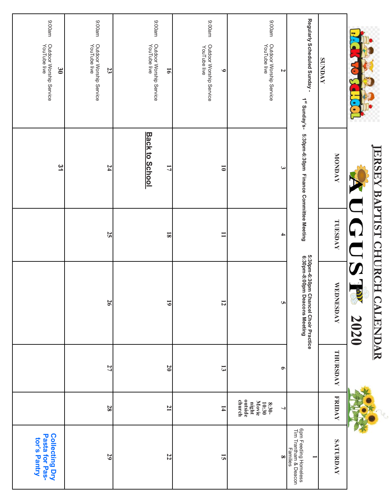| ma00:6<br>Outdoor Worship Service<br>YouTube live<br>30 | ma00:6<br>Outdoor Worship Service<br>YouTube live<br>23 | ma00:6<br>Outdoor Worship Service<br>YouTube live<br>$\overline{9}$ | ma00:6<br>Outdoor Worship Service<br>YouTube live<br>ی | ma00:6<br>Outdoor Worship Service<br>YouTube live<br>Z  | Regularly Scheduled Sunday -<br>1 <sup>st</sup> Sunday's-             | <b>SUNDAY</b>    |                              |
|---------------------------------------------------------|---------------------------------------------------------|---------------------------------------------------------------------|--------------------------------------------------------|---------------------------------------------------------|-----------------------------------------------------------------------|------------------|------------------------------|
| $\overline{3}$                                          | 24                                                      | <b>Back to School</b><br>17                                         | $\overline{\bullet}$                                   | $\tilde{\mathbf{z}}$                                    | 5:30pm-6:30pm Finance Committee Meeting                               | MONDAY           |                              |
|                                                         | 25                                                      | $\overline{\mathbf{8}}$                                             | $\Xi$                                                  | 4                                                       |                                                                       | TUESDAY          | ERSEY BAPTIST CHURCH         |
|                                                         | 26                                                      | $\overline{6}$                                                      | $\overline{5}$                                         | <b>UT</b>                                               | 5:30pm-6:30pm Chancel Choir Practice<br>6:30pm-8:00pm Deacons Meeting | <b>WEDNESDAY</b> | S<br><b>CALENDAR</b><br>2020 |
|                                                         | 27                                                      | $\overline{0}$                                                      | $\mathbf{13}$                                          | $\bullet$                                               |                                                                       | THURSDAY         |                              |
|                                                         | 28                                                      | $\mathbf{L}$                                                        | $\overline{1}$                                         | outside<br>church<br>Movie<br>night<br>10:30<br>$8:30-$ |                                                                       | <b>FRIDAY</b>    |                              |
| Collecting Dry<br>Pasta for Pas-<br>tor's Pantry        | 29                                                      | 22                                                                  | $\overline{5}$                                         | $\infty$                                                | 6pm Feeding Homeless<br>Tim Trantham & Deacon<br>Families             | SATURDAY         |                              |